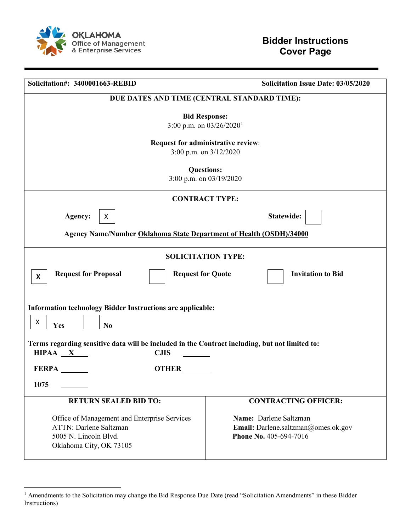

l

| Solicitation#: 3400001663-REBID                                                                                                   | <b>Solicitation Issue Date: 03/05/2020</b>                                              |  |
|-----------------------------------------------------------------------------------------------------------------------------------|-----------------------------------------------------------------------------------------|--|
| DUE DATES AND TIME (CENTRAL STANDARD TIME):                                                                                       |                                                                                         |  |
| <b>Bid Response:</b><br>3:00 p.m. on $03/26/2020$ <sup>1</sup>                                                                    |                                                                                         |  |
| Request for administrative review:<br>3:00 p.m. on $3/12/2020$                                                                    |                                                                                         |  |
| <b>Questions:</b><br>3:00 p.m. on 03/19/2020                                                                                      |                                                                                         |  |
| <b>CONTRACT TYPE:</b>                                                                                                             |                                                                                         |  |
| Agency:<br>X                                                                                                                      | Statewide:                                                                              |  |
| <b>Agency Name/Number Oklahoma State Department of Health (OSDH)/34000</b>                                                        |                                                                                         |  |
| <b>SOLICITATION TYPE:</b>                                                                                                         |                                                                                         |  |
| <b>Request for Proposal</b><br><b>Request for Quote</b><br><b>Invitation to Bid</b><br>X                                          |                                                                                         |  |
| <b>Information technology Bidder Instructions are applicable:</b><br>X<br>Yes<br>N <sub>0</sub>                                   |                                                                                         |  |
| Terms regarding sensitive data will be included in the Contract including, but not limited to:<br>HIPAA X<br><b>CJIS</b>          |                                                                                         |  |
| <b>FERPA</b><br>OTHER __                                                                                                          |                                                                                         |  |
| 1075                                                                                                                              |                                                                                         |  |
| <b>RETURN SEALED BID TO:</b>                                                                                                      | <b>CONTRACTING OFFICER:</b>                                                             |  |
| Office of Management and Enterprise Services<br><b>ATTN: Darlene Saltzman</b><br>5005 N. Lincoln Blvd.<br>Oklahoma City, OK 73105 | Name: Darlene Saltzman<br>Email: Darlene.saltzman@omes.ok.gov<br>Phone No. 405-694-7016 |  |

<span id="page-0-0"></span><sup>&</sup>lt;sup>1</sup> Amendments to the Solicitation may change the Bid Response Due Date (read "Solicitation Amendments" in these Bidder Instructions)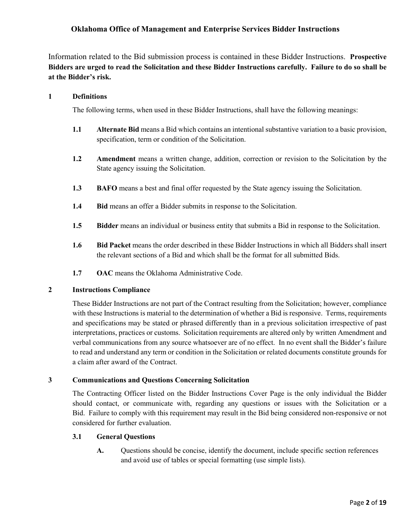# **Oklahoma Office of Management and Enterprise Services Bidder Instructions**

Information related to the Bid submission process is contained in these Bidder Instructions. **Prospective Bidders are urged to read the Solicitation and these Bidder Instructions carefully. Failure to do so shall be at the Bidder's risk.** 

#### **1 Definitions**

The following terms, when used in these Bidder Instructions, shall have the following meanings:

- **1.1 Alternate Bid** means a Bid which contains an intentional substantive variation to a basic provision, specification, term or condition of the Solicitation.
- **1.2 Amendment** means a written change, addition, correction or revision to the Solicitation by the State agency issuing the Solicitation.
- **1.3 BAFO** means a best and final offer requested by the State agency issuing the Solicitation.
- **1.4 Bid** means an offer a Bidder submits in response to the Solicitation.
- **1.5 Bidder** means an individual or business entity that submits a Bid in response to the Solicitation.
- **1.6 Bid Packet** means the order described in these Bidder Instructions in which all Bidders shall insert the relevant sections of a Bid and which shall be the format for all submitted Bids.
- **1.7 OAC** means the Oklahoma Administrative Code.

#### **2 Instructions Compliance**

These Bidder Instructions are not part of the Contract resulting from the Solicitation; however, compliance with these Instructions is material to the determination of whether a Bid is responsive. Terms, requirements and specifications may be stated or phrased differently than in a previous solicitation irrespective of past interpretations, practices or customs. Solicitation requirements are altered only by written Amendment and verbal communications from any source whatsoever are of no effect. In no event shall the Bidder's failure to read and understand any term or condition in the Solicitation or related documents constitute grounds for a claim after award of the Contract.

## **3 Communications and Questions Concerning Solicitation**

The Contracting Officer listed on the Bidder Instructions Cover Page is the only individual the Bidder should contact, or communicate with, regarding any questions or issues with the Solicitation or a Bid. Failure to comply with this requirement may result in the Bid being considered non-responsive or not considered for further evaluation.

#### **3.1 General Questions**

**A.** Questions should be concise, identify the document, include specific section references and avoid use of tables or special formatting (use simple lists).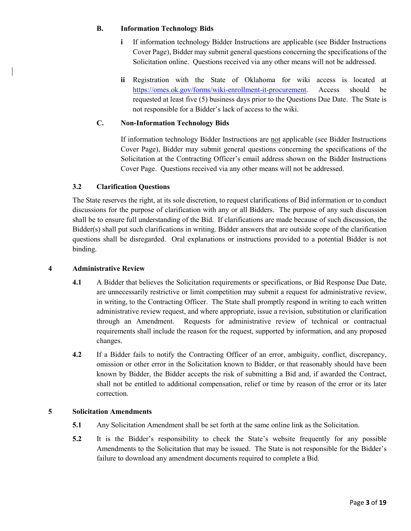#### **B. Information Technology Bids**

- **i** If information technology Bidder Instructions are applicable (see Bidder Instructions Cover Page), Bidder may submit general questions concerning the specifications of the Solicitation online. Questions received via any other means will not be addressed.
- **ii** Registration with the State of Oklahoma for wiki access is located at [https://omes.ok.gov/forms/wiki-enrollment-it-procurement.](https://omes.ok.gov/forms/wiki-enrollment-it-procurement) Access should be requested at least five (5) business days prior to the Questions Due Date. The State is not responsible for a Bidder's lack of access to the wiki.

# **C. Non-Information Technology Bids**

If information technology Bidder Instructions are not applicable (see Bidder Instructions Cover Page), Bidder may submit general questions concerning the specifications of the Solicitation at the Contracting Officer's email address shown on the Bidder Instructions Cover Page. Questions received via any other means will not be addressed.

# **3.2 Clarification Questions**

The State reserves the right, at its sole discretion, to request clarifications of Bid information or to conduct discussions for the purpose of clarification with any or all Bidders. The purpose of any such discussion shall be to ensure full understanding of the Bid. If clarifications are made because of such discussion, the Bidder(s) shall put such clarifications in writing. Bidder answers that are outside scope of the clarification questions shall be disregarded. Oral explanations or instructions provided to a potential Bidder is not binding.

## **4 Administrative Review**

- **4.1** A Bidder that believes the Solicitation requirements or specifications, or Bid Response Due Date, are unnecessarily restrictive or limit competition may submit a request for administrative review, in writing, to the Contracting Officer. The State shall promptly respond in writing to each written administrative review request, and where appropriate, issue a revision, substitution or clarification through an Amendment. Requests for administrative review of technical or contractual requirements shall include the reason for the request, supported by information, and any proposed changes.
- **4.2** If a Bidder fails to notify the Contracting Officer of an error, ambiguity, conflict, discrepancy, omission or other error in the Solicitation known to Bidder, or that reasonably should have been known by Bidder, the Bidder accepts the risk of submitting a Bid and, if awarded the Contract, shall not be entitled to additional compensation, relief or time by reason of the error or its later correction.

## **5 Solicitation Amendments**

- **5.1** Any Solicitation Amendment shall be set forth at the same online link as the Solicitation.
- **5.2** It is the Bidder's responsibility to check the State's website frequently for any possible Amendments to the Solicitation that may be issued. The State is not responsible for the Bidder's failure to download any amendment documents required to complete a Bid.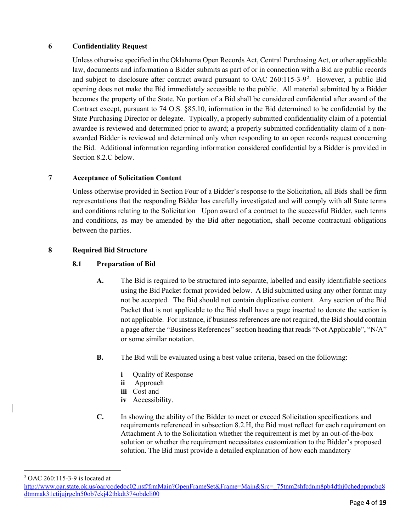# **6 Confidentiality Request**

Unless otherwise specified in the Oklahoma Open Records Act, Central Purchasing Act, or other applicable law, documents and information a Bidder submits as part of or in connection with a Bid are public records and subject to disclosure after contract award pursuant to OAC [2](#page-3-0)60:115-3-9<sup>2</sup>. However, a public Bid opening does not make the Bid immediately accessible to the public. All material submitted by a Bidder becomes the property of the State. No portion of a Bid shall be considered confidential after award of the Contract except, pursuant to 74 O.S. §85.10, information in the Bid determined to be confidential by the State Purchasing Director or delegate. Typically, a properly submitted confidentiality claim of a potential awardee is reviewed and determined prior to award; a properly submitted confidentiality claim of a nonawarded Bidder is reviewed and determined only when responding to an open records request concerning the Bid. Additional information regarding information considered confidential by a Bidder is provided in Section 8.2.C below.

## **7 Acceptance of Solicitation Content**

Unless otherwise provided in Section Four of a Bidder's response to the Solicitation, all Bids shall be firm representations that the responding Bidder has carefully investigated and will comply with all State terms and conditions relating to the Solicitation Upon award of a contract to the successful Bidder, such terms and conditions, as may be amended by the Bid after negotiation, shall become contractual obligations between the parties.

## **8 Required Bid Structure**

# **8.1 Preparation of Bid**

- **A.** The Bid is required to be structured into separate, labelled and easily identifiable sections using the Bid Packet format provided below. A Bid submitted using any other format may not be accepted. The Bid should not contain duplicative content. Any section of the Bid Packet that is not applicable to the Bid shall have a page inserted to denote the section is not applicable. For instance, if business references are not required, the Bid should contain a page after the "Business References" section heading that reads "Not Applicable", "N/A" or some similar notation.
- **B.** The Bid will be evaluated using a best value criteria, based on the following:
	- *i* Ouality of Response
	- **ii** Approach
	- **iii** Cost and
	- **iv** Accessibility.
- **C.** In showing the ability of the Bidder to meet or exceed Solicitation specifications and requirements referenced in subsection 8.2.H, the Bid must reflect for each requirement on Attachment A to the Solicitation whether the requirement is met by an out-of-the-box solution or whether the requirement necessitates customization to the Bidder's proposed solution. The Bid must provide a detailed explanation of how each mandatory

<span id="page-3-0"></span>2 OAC 260:115-3-9 is located at

[http://www.oar.state.ok.us/oar/codedoc02.nsf/frmMain?OpenFrameSet&Frame=Main&Src=\\_75tnm2shfcdnm8pb4dthj0chedppmcbq8](http://www.oar.state.ok.us/oar/codedoc02.nsf/frmMain?OpenFrameSet&Frame=Main&Src=_75tnm2shfcdnm8pb4dthj0chedppmcbq8dtmmak31ctijujrgcln50ob7ckj42tbkdt374obdcli00_) [dtmmak31ctijujrgcln50ob7ckj42tbkdt374obdcli00](http://www.oar.state.ok.us/oar/codedoc02.nsf/frmMain?OpenFrameSet&Frame=Main&Src=_75tnm2shfcdnm8pb4dthj0chedppmcbq8dtmmak31ctijujrgcln50ob7ckj42tbkdt374obdcli00_)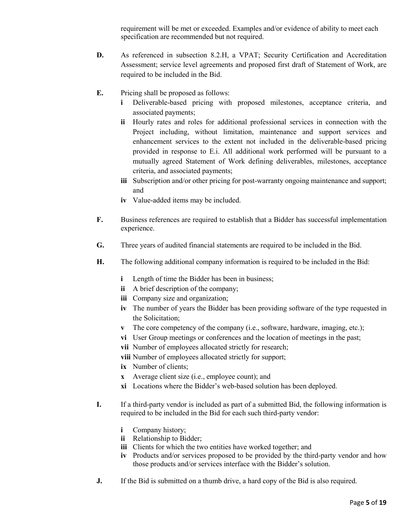requirement will be met or exceeded. Examples and/or evidence of ability to meet each specification are recommended but not required.

- **D.** As referenced in subsection 8.2.H, a VPAT; Security Certification and Accreditation Assessment; service level agreements and proposed first draft of Statement of Work, are required to be included in the Bid.
- **E.** Pricing shall be proposed as follows:
	- **i** Deliverable-based pricing with proposed milestones, acceptance criteria, and associated payments;
	- **ii** Hourly rates and roles for additional professional services in connection with the Project including, without limitation, maintenance and support services and enhancement services to the extent not included in the deliverable-based pricing provided in response to E.i. All additional work performed will be pursuant to a mutually agreed Statement of Work defining deliverables, milestones, acceptance criteria, and associated payments;
	- **iii** Subscription and/or other pricing for post-warranty ongoing maintenance and support; and
	- **iv** Value-added items may be included.
- **F.** Business references are required to establish that a Bidder has successful implementation experience.
- **G.** Three years of audited financial statements are required to be included in the Bid.
- **H.** The following additional company information is required to be included in the Bid:
	- **i** Length of time the Bidder has been in business;
	- **ii** A brief description of the company;
	- **iii** Company size and organization;
	- **iv** The number of years the Bidder has been providing software of the type requested in the Solicitation;
	- **v** The core competency of the company (i.e., software, hardware, imaging, etc.);
	- **vi** User Group meetings or conferences and the location of meetings in the past;
	- **vii** Number of employees allocated strictly for research;
	- **viii** Number of employees allocated strictly for support;
	- **ix** Number of clients;
	- **x** Average client size (i.e., employee count); and
	- **xi** Locations where the Bidder's web-based solution has been deployed.
- **I.** If a third-party vendor is included as part of a submitted Bid, the following information is required to be included in the Bid for each such third-party vendor:
	- **i** Company history;
	- **ii** Relationship to Bidder;
	- **iii** Clients for which the two entities have worked together; and
	- **iv** Products and/or services proposed to be provided by the third-party vendor and how those products and/or services interface with the Bidder's solution.
- **J.** If the Bid is submitted on a thumb drive, a hard copy of the Bid is also required.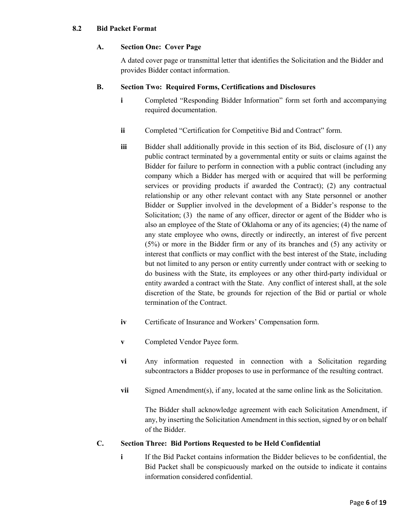#### **8.2 Bid Packet Format**

## **A. Section One: Cover Page**

A dated cover page or transmittal letter that identifies the Solicitation and the Bidder and provides Bidder contact information.

## **B. Section Two: Required Forms, Certifications and Disclosures**

- **i** Completed "Responding Bidder Information" form set forth and accompanying required documentation.
- **ii** Completed "Certification for Competitive Bid and Contract" form.
- **iii** Bidder shall additionally provide in this section of its Bid, disclosure of (1) any public contract terminated by a governmental entity or suits or claims against the Bidder for failure to perform in connection with a public contract (including any company which a Bidder has merged with or acquired that will be performing services or providing products if awarded the Contract); (2) any contractual relationship or any other relevant contact with any State personnel or another Bidder or Supplier involved in the development of a Bidder's response to the Solicitation; (3) the name of any officer, director or agent of the Bidder who is also an employee of the State of Oklahoma or any of its agencies; (4) the name of any state employee who owns, directly or indirectly, an interest of five percent (5%) or more in the Bidder firm or any of its branches and (5) any activity or interest that conflicts or may conflict with the best interest of the State, including but not limited to any person or entity currently under contract with or seeking to do business with the State, its employees or any other third-party individual or entity awarded a contract with the State. Any conflict of interest shall, at the sole discretion of the State, be grounds for rejection of the Bid or partial or whole termination of the Contract.
- **iv** Certificate of Insurance and Workers' Compensation form.
- **v** Completed Vendor Payee form.
- **vi** Any information requested in connection with a Solicitation regarding subcontractors a Bidder proposes to use in performance of the resulting contract.
- **vii** Signed Amendment(s), if any, located at the same online link as the Solicitation.

The Bidder shall acknowledge agreement with each Solicitation Amendment, if any, by inserting the Solicitation Amendment in this section, signed by or on behalf of the Bidder.

## **C. Section Three: Bid Portions Requested to be Held Confidential**

**i** If the Bid Packet contains information the Bidder believes to be confidential, the Bid Packet shall be conspicuously marked on the outside to indicate it contains information considered confidential.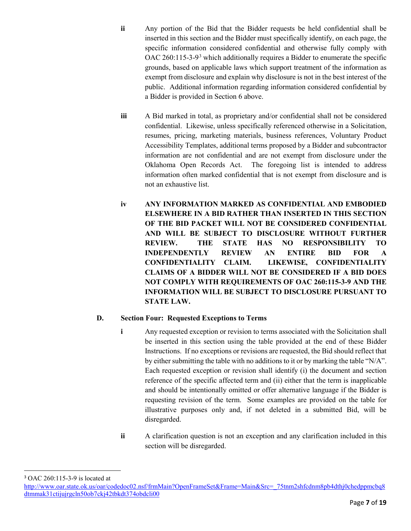- **ii** Any portion of the Bid that the Bidder requests be held confidential shall be inserted in this section and the Bidder must specifically identify, on each page, the specific information considered confidential and otherwise fully comply with OAC 260:115-[3](#page-6-0)-9<sup>3</sup> which additionally requires a Bidder to enumerate the specific grounds, based on applicable laws which support treatment of the information as exempt from disclosure and explain why disclosure is not in the best interest of the public. Additional information regarding information considered confidential by a Bidder is provided in Section 6 above.
- **iii** A Bid marked in total, as proprietary and/or confidential shall not be considered confidential. Likewise, unless specifically referenced otherwise in a Solicitation, resumes, pricing, marketing materials, business references, Voluntary Product Accessibility Templates, additional terms proposed by a Bidder and subcontractor information are not confidential and are not exempt from disclosure under the Oklahoma Open Records Act. The foregoing list is intended to address information often marked confidential that is not exempt from disclosure and is not an exhaustive list.
- **iv ANY INFORMATION MARKED AS CONFIDENTIAL AND EMBODIED ELSEWHERE IN A BID RATHER THAN INSERTED IN THIS SECTION OF THE BID PACKET WILL NOT BE CONSIDERED CONFIDENTIAL AND WILL BE SUBJECT TO DISCLOSURE WITHOUT FURTHER REVIEW. THE STATE HAS NO RESPONSIBILITY TO INDEPENDENTLY REVIEW AN ENTIRE BID FOR A CONFIDENTIALITY CLAIM. LIKEWISE, CONFIDENTIALITY CLAIMS OF A BIDDER WILL NOT BE CONSIDERED IF A BID DOES NOT COMPLY WITH REQUIREMENTS OF OAC 260:115-3-9 AND THE INFORMATION WILL BE SUBJECT TO DISCLOSURE PURSUANT TO STATE LAW.**

## **D. Section Four: Requested Exceptions to Terms**

- **i** Any requested exception or revision to terms associated with the Solicitation shall be inserted in this section using the table provided at the end of these Bidder Instructions. If no exceptions or revisions are requested, the Bid should reflect that by either submitting the table with no additions to it or by marking the table "N/A". Each requested exception or revision shall identify (i) the document and section reference of the specific affected term and (ii) either that the term is inapplicable and should be intentionally omitted or offer alternative language if the Bidder is requesting revision of the term. Some examples are provided on the table for illustrative purposes only and, if not deleted in a submitted Bid, will be disregarded.
- **ii** A clarification question is not an exception and any clarification included in this section will be disregarded.

<span id="page-6-0"></span>3 OAC 260:115-3-9 is located at

[http://www.oar.state.ok.us/oar/codedoc02.nsf/frmMain?OpenFrameSet&Frame=Main&Src=\\_75tnm2shfcdnm8pb4dthj0chedppmcbq8](http://www.oar.state.ok.us/oar/codedoc02.nsf/frmMain?OpenFrameSet&Frame=Main&Src=_75tnm2shfcdnm8pb4dthj0chedppmcbq8dtmmak31ctijujrgcln50ob7ckj42tbkdt374obdcli00_) [dtmmak31ctijujrgcln50ob7ckj42tbkdt374obdcli00](http://www.oar.state.ok.us/oar/codedoc02.nsf/frmMain?OpenFrameSet&Frame=Main&Src=_75tnm2shfcdnm8pb4dthj0chedppmcbq8dtmmak31ctijujrgcln50ob7ckj42tbkdt374obdcli00_)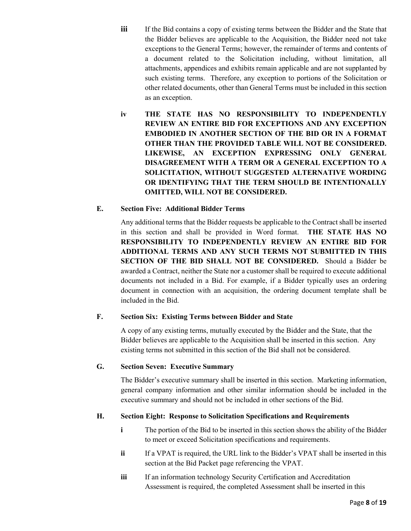- **iii** If the Bid contains a copy of existing terms between the Bidder and the State that the Bidder believes are applicable to the Acquisition, the Bidder need not take exceptions to the General Terms; however, the remainder of terms and contents of a document related to the Solicitation including, without limitation, all attachments, appendices and exhibits remain applicable and are not supplanted by such existing terms. Therefore, any exception to portions of the Solicitation or other related documents, other than General Terms must be included in this section as an exception.
- **iv THE STATE HAS NO RESPONSIBILITY TO INDEPENDENTLY REVIEW AN ENTIRE BID FOR EXCEPTIONS AND ANY EXCEPTION EMBODIED IN ANOTHER SECTION OF THE BID OR IN A FORMAT OTHER THAN THE PROVIDED TABLE WILL NOT BE CONSIDERED. LIKEWISE, AN EXCEPTION EXPRESSING ONLY GENERAL DISAGREEMENT WITH A TERM OR A GENERAL EXCEPTION TO A SOLICITATION, WITHOUT SUGGESTED ALTERNATIVE WORDING OR IDENTIFYING THAT THE TERM SHOULD BE INTENTIONALLY OMITTED, WILL NOT BE CONSIDERED.**

### **E. Section Five: Additional Bidder Terms**

Any additional terms that the Bidder requests be applicable to the Contract shall be inserted in this section and shall be provided in Word format. **THE STATE HAS NO RESPONSIBILITY TO INDEPENDENTLY REVIEW AN ENTIRE BID FOR ADDITIONAL TERMS AND ANY SUCH TERMS NOT SUBMITTED IN THIS SECTION OF THE BID SHALL NOT BE CONSIDERED.** Should a Bidder be awarded a Contract, neither the State nor a customer shall be required to execute additional documents not included in a Bid. For example, if a Bidder typically uses an ordering document in connection with an acquisition, the ordering document template shall be included in the Bid.

## **F. Section Six: Existing Terms between Bidder and State**

A copy of any existing terms, mutually executed by the Bidder and the State, that the Bidder believes are applicable to the Acquisition shall be inserted in this section. Any existing terms not submitted in this section of the Bid shall not be considered.

### **G. Section Seven: Executive Summary**

The Bidder's executive summary shall be inserted in this section. Marketing information, general company information and other similar information should be included in the executive summary and should not be included in other sections of the Bid.

#### **H. Section Eight: Response to Solicitation Specifications and Requirements**

- **i** The portion of the Bid to be inserted in this section shows the ability of the Bidder to meet or exceed Solicitation specifications and requirements.
- **ii** If a VPAT is required, the URL link to the Bidder's VPAT shall be inserted in this section at the Bid Packet page referencing the VPAT.
- **iii** If an information technology Security Certification and Accreditation Assessment is required, the completed Assessment shall be inserted in this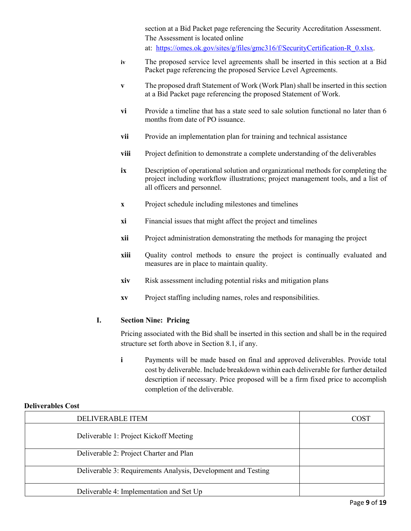section at a Bid Packet page referencing the Security Accreditation Assessment. The Assessment is located online at: [https://omes.ok.gov/sites/g/files/gmc316/f/SecurityCertification-R\\_0.xlsx.](https://omes.ok.gov/sites/g/files/gmc316/f/SecurityCertification-R_0.xlsx)

- **iv** The proposed service level agreements shall be inserted in this section at a Bid Packet page referencing the proposed Service Level Agreements.
- **v** The proposed draft Statement of Work (Work Plan) shall be inserted in this section at a Bid Packet page referencing the proposed Statement of Work.
- **vi** Provide a timeline that has a state seed to sale solution functional no later than 6 months from date of PO issuance.
- **vii** Provide an implementation plan for training and technical assistance
- **viii** Project definition to demonstrate a complete understanding of the deliverables
- **ix** Description of operational solution and organizational methods for completing the project including workflow illustrations; project management tools, and a list of all officers and personnel.
- **x** Project schedule including milestones and timelines
- **xi** Financial issues that might affect the project and timelines
- **xii** Project administration demonstrating the methods for managing the project
- **xiii** Quality control methods to ensure the project is continually evaluated and measures are in place to maintain quality.
- **xiv** Risk assessment including potential risks and mitigation plans
- **xv** Project staffing including names, roles and responsibilities.

## **I. Section Nine: Pricing**

Pricing associated with the Bid shall be inserted in this section and shall be in the required structure set forth above in Section 8.1, if any.

**i** Payments will be made based on final and approved deliverables. Provide total cost by deliverable. Include breakdown within each deliverable for further detailed description if necessary. Price proposed will be a firm fixed price to accomplish completion of the deliverable.

#### **Deliverables Cost**

| DELIVERABLE ITEM                                              | COST |
|---------------------------------------------------------------|------|
| Deliverable 1: Project Kickoff Meeting                        |      |
| Deliverable 2: Project Charter and Plan                       |      |
| Deliverable 3: Requirements Analysis, Development and Testing |      |
| Deliverable 4: Implementation and Set Up                      |      |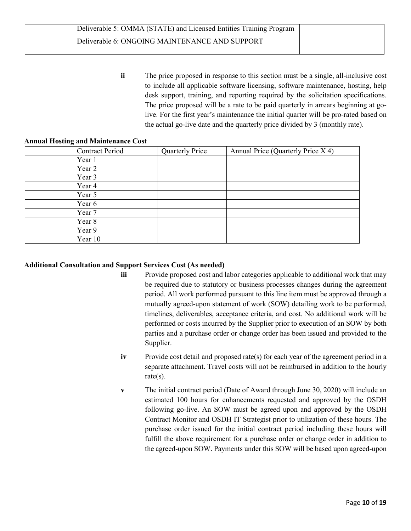| Deliverable 5: OMMA (STATE) and Licensed Entities Training Program |  |
|--------------------------------------------------------------------|--|
| Deliverable 6: ONGOING MAINTENANCE AND SUPPORT                     |  |

**ii** The price proposed in response to this section must be a single, all-inclusive cost to include all applicable software licensing, software maintenance, hosting, help desk support, training, and reporting required by the solicitation specifications. The price proposed will be a rate to be paid quarterly in arrears beginning at golive. For the first year's maintenance the initial quarter will be pro-rated based on the actual go-live date and the quarterly price divided by 3 (monthly rate).

#### **Annual Hosting and Maintenance Cost**

| <b>Contract Period</b> | <b>Quarterly Price</b> | Annual Price (Quarterly Price X 4) |
|------------------------|------------------------|------------------------------------|
| Year 1                 |                        |                                    |
| Year 2                 |                        |                                    |
| Year 3                 |                        |                                    |
| Year 4                 |                        |                                    |
| Year 5                 |                        |                                    |
| Year 6                 |                        |                                    |
| Year 7                 |                        |                                    |
| Year 8                 |                        |                                    |
| Year 9                 |                        |                                    |
| Year 10                |                        |                                    |

#### **Additional Consultation and Support Services Cost (As needed)**

- **iii** Provide proposed cost and labor categories applicable to additional work that may be required due to statutory or business processes changes during the agreement period. All work performed pursuant to this line item must be approved through a mutually agreed-upon statement of work (SOW) detailing work to be performed, timelines, deliverables, acceptance criteria, and cost. No additional work will be performed or costs incurred by the Supplier prior to execution of an SOW by both parties and a purchase order or change order has been issued and provided to the Supplier.
- **iv** Provide cost detail and proposed rate(s) for each year of the agreement period in a separate attachment. Travel costs will not be reimbursed in addition to the hourly rate(s).
- **v** The initial contract period (Date of Award through June 30, 2020) will include an estimated 100 hours for enhancements requested and approved by the OSDH following go-live. An SOW must be agreed upon and approved by the OSDH Contract Monitor and OSDH IT Strategist prior to utilization of these hours. The purchase order issued for the initial contract period including these hours will fulfill the above requirement for a purchase order or change order in addition to the agreed-upon SOW. Payments under this SOW will be based upon agreed-upon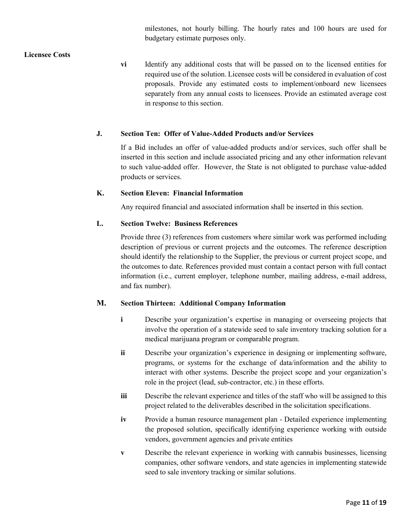milestones, not hourly billing. The hourly rates and 100 hours are used for budgetary estimate purposes only.

### **Licensee Costs**

**vi** Identify any additional costs that will be passed on to the licensed entities for required use of the solution. Licensee costs will be considered in evaluation of cost proposals. Provide any estimated costs to implement/onboard new licensees separately from any annual costs to licensees. Provide an estimated average cost in response to this section.

### **J. Section Ten: Offer of Value-Added Products and/or Services**

If a Bid includes an offer of value-added products and/or services, such offer shall be inserted in this section and include associated pricing and any other information relevant to such value-added offer. However, the State is not obligated to purchase value-added products or services.

### **K. Section Eleven: Financial Information**

Any required financial and associated information shall be inserted in this section.

### **L. Section Twelve: Business References**

Provide three (3) references from customers where similar work was performed including description of previous or current projects and the outcomes. The reference description should identify the relationship to the Supplier, the previous or current project scope, and the outcomes to date. References provided must contain a contact person with full contact information (i.e., current employer, telephone number, mailing address, e-mail address, and fax number).

#### **M. Section Thirteen: Additional Company Information**

- **i** Describe your organization's expertise in managing or overseeing projects that involve the operation of a statewide seed to sale inventory tracking solution for a medical marijuana program or comparable program.
- **ii** Describe your organization's experience in designing or implementing software, programs, or systems for the exchange of data/information and the ability to interact with other systems. Describe the project scope and your organization's role in the project (lead, sub-contractor, etc.) in these efforts.
- **iii** Describe the relevant experience and titles of the staff who will be assigned to this project related to the deliverables described in the solicitation specifications.
- **iv** Provide a human resource management plan Detailed experience implementing the proposed solution, specifically identifying experience working with outside vendors, government agencies and private entities
- **v** Describe the relevant experience in working with cannabis businesses, licensing companies, other software vendors, and state agencies in implementing statewide seed to sale inventory tracking or similar solutions.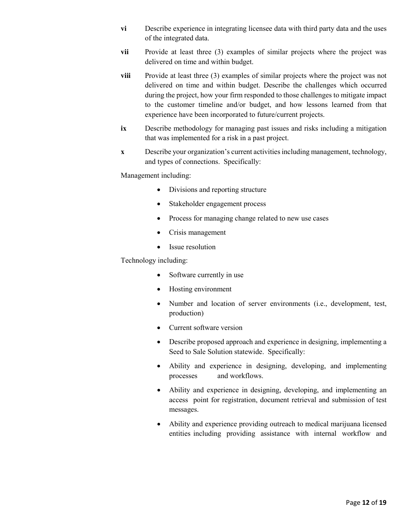- **vi** Describe experience in integrating licensee data with third party data and the uses of the integrated data.
- **vii** Provide at least three (3) examples of similar projects where the project was delivered on time and within budget.
- **viii** Provide at least three (3) examples of similar projects where the project was not delivered on time and within budget. Describe the challenges which occurred during the project, how your firm responded to those challenges to mitigate impact to the customer timeline and/or budget, and how lessons learned from that experience have been incorporated to future/current projects.
- **ix** Describe methodology for managing past issues and risks including a mitigation that was implemented for a risk in a past project.
- **x** Describe your organization's current activities including management, technology, and types of connections. Specifically:

Management including:

- Divisions and reporting structure
- Stakeholder engagement process
- Process for managing change related to new use cases
- Crisis management
- Issue resolution

Technology including:

- Software currently in use
- Hosting environment
- Number and location of server environments (i.e., development, test, production)
- Current software version
- Describe proposed approach and experience in designing, implementing a Seed to Sale Solution statewide. Specifically:
- Ability and experience in designing, developing, and implementing processes and workflows.
- Ability and experience in designing, developing, and implementing an access point for registration, document retrieval and submission of test messages.
- Ability and experience providing outreach to medical marijuana licensed entities including providing assistance with internal workflow and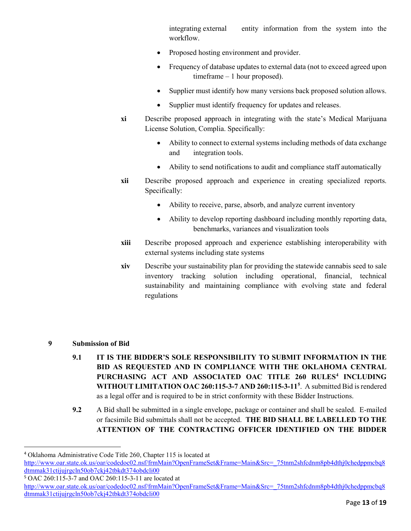integrating external entity information from the system into the workflow.

- Proposed hosting environment and provider.
- Frequency of database updates to external data (not to exceed agreed upon timeframe – 1 hour proposed).
- Supplier must identify how many versions back proposed solution allows.
- Supplier must identify frequency for updates and releases.
- **xi** Describe proposed approach in integrating with the state's Medical Marijuana License Solution, Complia. Specifically:
	- Ability to connect to external systems including methods of data exchange and integration tools.
	- Ability to send notifications to audit and compliance staff automatically
- **xii** Describe proposed approach and experience in creating specialized reports. Specifically:
	- Ability to receive, parse, absorb, and analyze current inventory
	- Ability to develop reporting dashboard including monthly reporting data, benchmarks, variances and visualization tools
- **xiii** Describe proposed approach and experience establishing interoperability with external systems including state systems
- **xiv** Describe your sustainability plan for providing the statewide cannabis seed to sale inventory tracking solution including operational, financial, technical sustainability and maintaining compliance with evolving state and federal regulations
- **9 Submission of Bid** 
	- **9.1 IT IS THE BIDDER'S SOLE RESPONSIBILITY TO SUBMIT INFORMATION IN THE BID AS REQUESTED AND IN COMPLIANCE WITH THE OKLAHOMA CENTRAL PURCHASING ACT AND ASSOCIATED OAC TITLE 260 RULES[4](#page-12-0) INCLUDING WITHOUT LIMITATION OAC 260:115-3-7 AND 260:115-3-11[5](#page-12-1)** . A submitted Bid is rendered as a legal offer and is required to be in strict conformity with these Bidder Instructions.
	- **9.2** A Bid shall be submitted in a single envelope, package or container and shall be sealed. E-mailed or facsimile Bid submittals shall not be accepted. **THE BID SHALL BE LABELLED TO THE ATTENTION OF THE CONTRACTING OFFICER IDENTIFIED ON THE BIDDER**

<span id="page-12-1"></span><sup>5</sup> OAC 260:115-3-7 and OAC 260:115-3-11 are located at

<span id="page-12-0"></span> <sup>4</sup> Oklahoma Administrative Code Title 260, Chapter 115 is located at

[http://www.oar.state.ok.us/oar/codedoc02.nsf/frmMain?OpenFrameSet&Frame=Main&Src=\\_75tnm2shfcdnm8pb4dthj0chedppmcbq8](http://www.oar.state.ok.us/oar/codedoc02.nsf/frmMain?OpenFrameSet&Frame=Main&Src=_75tnm2shfcdnm8pb4dthj0chedppmcbq8dtmmak31ctijujrgcln50ob7ckj42tbkdt374obdcli00_) [dtmmak31ctijujrgcln50ob7ckj42tbkdt374obdcli00](http://www.oar.state.ok.us/oar/codedoc02.nsf/frmMain?OpenFrameSet&Frame=Main&Src=_75tnm2shfcdnm8pb4dthj0chedppmcbq8dtmmak31ctijujrgcln50ob7ckj42tbkdt374obdcli00_)

[http://www.oar.state.ok.us/oar/codedoc02.nsf/frmMain?OpenFrameSet&Frame=Main&Src=\\_75tnm2shfcdnm8pb4dthj0chedppmcbq8](http://www.oar.state.ok.us/oar/codedoc02.nsf/frmMain?OpenFrameSet&Frame=Main&Src=_75tnm2shfcdnm8pb4dthj0chedppmcbq8dtmmak31ctijujrgcln50ob7ckj42tbkdt374obdcli00_) [dtmmak31ctijujrgcln50ob7ckj42tbkdt374obdcli00](http://www.oar.state.ok.us/oar/codedoc02.nsf/frmMain?OpenFrameSet&Frame=Main&Src=_75tnm2shfcdnm8pb4dthj0chedppmcbq8dtmmak31ctijujrgcln50ob7ckj42tbkdt374obdcli00_)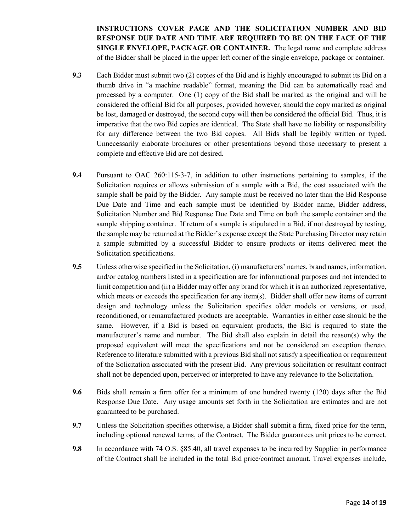**INSTRUCTIONS COVER PAGE AND THE SOLICITATION NUMBER AND BID RESPONSE DUE DATE AND TIME ARE REQUIRED TO BE ON THE FACE OF THE SINGLE ENVELOPE, PACKAGE OR CONTAINER.** The legal name and complete address of the Bidder shall be placed in the upper left corner of the single envelope, package or container.

- **9.3** Each Bidder must submit two (2) copies of the Bid and is highly encouraged to submit its Bid on a thumb drive in "a machine readable" format, meaning the Bid can be automatically read and processed by a computer. One (1) copy of the Bid shall be marked as the original and will be considered the official Bid for all purposes, provided however, should the copy marked as original be lost, damaged or destroyed, the second copy will then be considered the official Bid. Thus, it is imperative that the two Bid copies are identical. The State shall have no liability or responsibility for any difference between the two Bid copies. All Bids shall be legibly written or typed. Unnecessarily elaborate brochures or other presentations beyond those necessary to present a complete and effective Bid are not desired.
- **9.4** Pursuant to OAC 260:115-3-7, in addition to other instructions pertaining to samples, if the Solicitation requires or allows submission of a sample with a Bid, the cost associated with the sample shall be paid by the Bidder. Any sample must be received no later than the Bid Response Due Date and Time and each sample must be identified by Bidder name, Bidder address, Solicitation Number and Bid Response Due Date and Time on both the sample container and the sample shipping container. If return of a sample is stipulated in a Bid, if not destroyed by testing, the sample may be returned at the Bidder's expense except the State Purchasing Director may retain a sample submitted by a successful Bidder to ensure products or items delivered meet the Solicitation specifications.
- **9.5** Unless otherwise specified in the Solicitation, (i) manufacturers' names, brand names, information, and/or catalog numbers listed in a specification are for informational purposes and not intended to limit competition and (ii) a Bidder may offer any brand for which it is an authorized representative, which meets or exceeds the specification for any item(s). Bidder shall offer new items of current design and technology unless the Solicitation specifies older models or versions, or used, reconditioned, or remanufactured products are acceptable. Warranties in either case should be the same. However, if a Bid is based on equivalent products, the Bid is required to state the manufacturer's name and number. The Bid shall also explain in detail the reason(s) why the proposed equivalent will meet the specifications and not be considered an exception thereto. Reference to literature submitted with a previous Bid shall not satisfy a specification or requirement of the Solicitation associated with the present Bid. Any previous solicitation or resultant contract shall not be depended upon, perceived or interpreted to have any relevance to the Solicitation.
- **9.6** Bids shall remain a firm offer for a minimum of one hundred twenty (120) days after the Bid Response Due Date. Any usage amounts set forth in the Solicitation are estimates and are not guaranteed to be purchased.
- **9.7** Unless the Solicitation specifies otherwise, a Bidder shall submit a firm, fixed price for the term, including optional renewal terms, of the Contract. The Bidder guarantees unit prices to be correct.
- **9.8** In accordance with 74 O.S. §85.40, all travel expenses to be incurred by Supplier in performance of the Contract shall be included in the total Bid price/contract amount. Travel expenses include,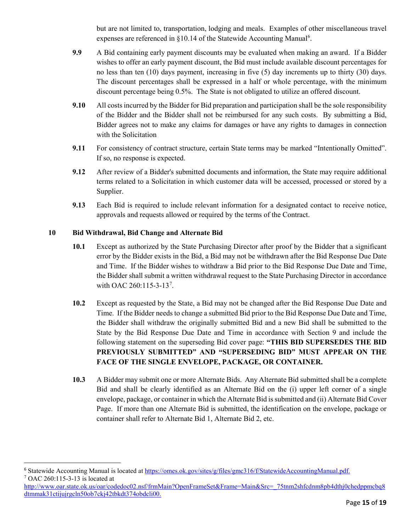but are not limited to, transportation, lodging and meals. Examples of other miscellaneous travel expenses are referenced in §10.14 of the Statewide Accounting Manual<sup>[6](#page-14-0)</sup>.

- **9.9** A Bid containing early payment discounts may be evaluated when making an award. If a Bidder wishes to offer an early payment discount, the Bid must include available discount percentages for no less than ten (10) days payment, increasing in five (5) day increments up to thirty (30) days. The discount percentages shall be expressed in a half or whole percentage, with the minimum discount percentage being 0.5%. The State is not obligated to utilize an offered discount.
- **9.10** All costs incurred by the Bidder for Bid preparation and participation shall be the sole responsibility of the Bidder and the Bidder shall not be reimbursed for any such costs. By submitting a Bid, Bidder agrees not to make any claims for damages or have any rights to damages in connection with the Solicitation
- **9.11** For consistency of contract structure, certain State terms may be marked "Intentionally Omitted". If so, no response is expected.
- **9.12** After review of a Bidder's submitted documents and information, the State may require additional terms related to a Solicitation in which customer data will be accessed, processed or stored by a Supplier.
- **9.13** Each Bid is required to include relevant information for a designated contact to receive notice, approvals and requests allowed or required by the terms of the Contract.

## **10 Bid Withdrawal, Bid Change and Alternate Bid**

- **10.1** Except as authorized by the State Purchasing Director after proof by the Bidder that a significant error by the Bidder exists in the Bid, a Bid may not be withdrawn after the Bid Response Due Date and Time. If the Bidder wishes to withdraw a Bid prior to the Bid Response Due Date and Time, the Bidder shall submit a written withdrawal request to the State Purchasing Director in accordance with OAC 260:115-3-13<sup>[7](#page-14-1)</sup>.
- **10.2** Except as requested by the State, a Bid may not be changed after the Bid Response Due Date and Time. If the Bidder needs to change a submitted Bid prior to the Bid Response Due Date and Time, the Bidder shall withdraw the originally submitted Bid and a new Bid shall be submitted to the State by the Bid Response Due Date and Time in accordance with Section 9 and include the following statement on the superseding Bid cover page: **"THIS BID SUPERSEDES THE BID PREVIOUSLY SUBMITTED" AND "SUPERSEDING BID" MUST APPEAR ON THE FACE OF THE SINGLE ENVELOPE, PACKAGE, OR CONTAINER.**
- **10.3** A Bidder may submit one or more Alternate Bids. Any Alternate Bid submitted shall be a complete Bid and shall be clearly identified as an Alternate Bid on the (i) upper left corner of a single envelope, package, or container in which the Alternate Bid is submitted and (ii) Alternate Bid Cover Page. If more than one Alternate Bid is submitted, the identification on the envelope, package or container shall refer to Alternate Bid 1, Alternate Bid 2, etc.

<span id="page-14-1"></span><span id="page-14-0"></span><sup>&</sup>lt;sup>6</sup> Statewide Accounting Manual is located at [https://omes.ok.gov/sites/g/files/gmc316/f/StatewideAccountingManual.pdf.](https://omes.ok.gov/sites/g/files/gmc316/f/StatewideAccountingManual.pdf) <sup>7</sup> OAC 260:115-3-13 is located at

[http://www.oar.state.ok.us/oar/codedoc02.nsf/frmMain?OpenFrameSet&Frame=Main&Src=\\_75tnm2shfcdnm8pb4dthj0chedppmcbq8](http://www.oar.state.ok.us/oar/codedoc02.nsf/frmMain?OpenFrameSet&Frame=Main&Src=_75tnm2shfcdnm8pb4dthj0chedppmcbq8dtmmak31ctijujrgcln50ob7ckj42tbkdt374obdcli00_) [dtmmak31ctijujrgcln50ob7ckj42tbkdt374obdcli00.](http://www.oar.state.ok.us/oar/codedoc02.nsf/frmMain?OpenFrameSet&Frame=Main&Src=_75tnm2shfcdnm8pb4dthj0chedppmcbq8dtmmak31ctijujrgcln50ob7ckj42tbkdt374obdcli00_)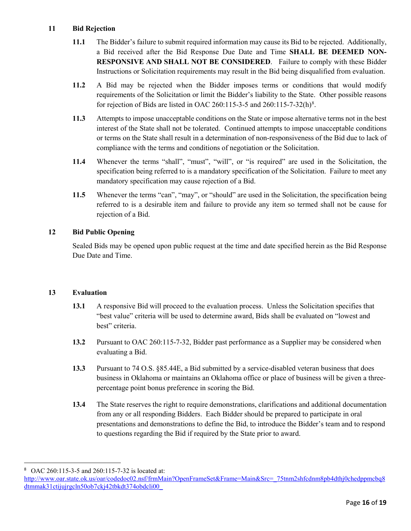### **11 Bid Rejection**

- **11.1** The Bidder's failure to submit required information may cause its Bid to be rejected. Additionally, a Bid received after the Bid Response Due Date and Time **SHALL BE DEEMED NON-RESPONSIVE AND SHALL NOT BE CONSIDERED**. Failure to comply with these Bidder Instructions or Solicitation requirements may result in the Bid being disqualified from evaluation.
- **11.2** A Bid may be rejected when the Bidder imposes terms or conditions that would modify requirements of the Solicitation or limit the Bidder's liability to the State. Other possible reasons for rejection of Bids are listed in OAC 260:115-3-5 and 260:115-7-32(h)<sup>[8](#page-15-0)</sup>.
- **11.3** Attempts to impose unacceptable conditions on the State or impose alternative terms not in the best interest of the State shall not be tolerated. Continued attempts to impose unacceptable conditions or terms on the State shall result in a determination of non-responsiveness of the Bid due to lack of compliance with the terms and conditions of negotiation or the Solicitation.
- **11.4** Whenever the terms "shall", "must", "will", or "is required" are used in the Solicitation, the specification being referred to is a mandatory specification of the Solicitation. Failure to meet any mandatory specification may cause rejection of a Bid.
- **11.5** Whenever the terms "can", "may", or "should" are used in the Solicitation, the specification being referred to is a desirable item and failure to provide any item so termed shall not be cause for rejection of a Bid.

## **12 Bid Public Opening**

Sealed Bids may be opened upon public request at the time and date specified herein as the Bid Response Due Date and Time.

## **13 Evaluation**

- **13.1** A responsive Bid will proceed to the evaluation process. Unless the Solicitation specifies that "best value" criteria will be used to determine award, Bids shall be evaluated on "lowest and best" criteria.
- **13.2** Pursuant to OAC 260:115-7-32, Bidder past performance as a Supplier may be considered when evaluating a Bid.
- **13.3** Pursuant to 74 O.S. §85.44E, a Bid submitted by a service-disabled veteran business that does business in Oklahoma or maintains an Oklahoma office or place of business will be given a threepercentage point bonus preference in scoring the Bid.
- **13.4** The State reserves the right to require demonstrations, clarifications and additional documentation from any or all responding Bidders. Each Bidder should be prepared to participate in oral presentations and demonstrations to define the Bid, to introduce the Bidder's team and to respond to questions regarding the Bid if required by the State prior to award.

<span id="page-15-0"></span> <sup>8</sup> OAC 260:115-3-5 and 260:115-7-32 is located at:

http://www.oar.state.ok.us/oar/codedoc02.nsf/frmMain?OpenFrameSet&Frame=Main&Src= 75tnm2shfcdnm8pb4dthj0chedppmcbq8 [dtmmak31ctijujrgcln50ob7ckj42tbkdt374obdcli00\\_](http://www.oar.state.ok.us/oar/codedoc02.nsf/frmMain?OpenFrameSet&Frame=Main&Src=_75tnm2shfcdnm8pb4dthj0chedppmcbq8dtmmak31ctijujrgcln50ob7ckj42tbkdt374obdcli00_)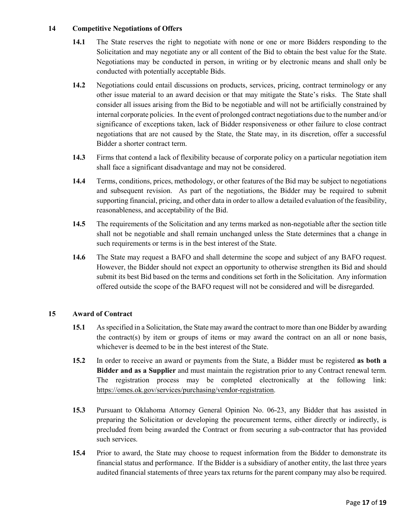#### **14 Competitive Negotiations of Offers**

- **14.1** The State reserves the right to negotiate with none or one or more Bidders responding to the Solicitation and may negotiate any or all content of the Bid to obtain the best value for the State. Negotiations may be conducted in person, in writing or by electronic means and shall only be conducted with potentially acceptable Bids.
- **14.2** Negotiations could entail discussions on products, services, pricing, contract terminology or any other issue material to an award decision or that may mitigate the State's risks. The State shall consider all issues arising from the Bid to be negotiable and will not be artificially constrained by internal corporate policies. In the event of prolonged contract negotiations due to the number and/or significance of exceptions taken, lack of Bidder responsiveness or other failure to close contract negotiations that are not caused by the State, the State may, in its discretion, offer a successful Bidder a shorter contract term.
- **14.3** Firms that contend a lack of flexibility because of corporate policy on a particular negotiation item shall face a significant disadvantage and may not be considered.
- **14.4** Terms, conditions, prices, methodology, or other features of the Bid may be subject to negotiations and subsequent revision. As part of the negotiations, the Bidder may be required to submit supporting financial, pricing, and other data in order to allow a detailed evaluation of the feasibility, reasonableness, and acceptability of the Bid.
- **14.5** The requirements of the Solicitation and any terms marked as non-negotiable after the section title shall not be negotiable and shall remain unchanged unless the State determines that a change in such requirements or terms is in the best interest of the State.
- **14.6** The State may request a BAFO and shall determine the scope and subject of any BAFO request. However, the Bidder should not expect an opportunity to otherwise strengthen its Bid and should submit its best Bid based on the terms and conditions set forth in the Solicitation. Any information offered outside the scope of the BAFO request will not be considered and will be disregarded.

## **15 Award of Contract**

- **15.1** As specified in a Solicitation, the State may award the contract to more than one Bidder by awarding the contract(s) by item or groups of items or may award the contract on an all or none basis, whichever is deemed to be in the best interest of the State.
- **15.2** In order to receive an award or payments from the State, a Bidder must be registered **as both a Bidder and as a Supplier** and must maintain the registration prior to any Contract renewal term. The registration process may be completed electronically at the following link: [https://omes.ok.gov/services/purchasing/vendor-registration.](https://omes.ok.gov/services/purchasing/vendor-registration)
- **15.3** Pursuant to Oklahoma Attorney General Opinion No. 06-23, any Bidder that has assisted in preparing the Solicitation or developing the procurement terms, either directly or indirectly, is precluded from being awarded the Contract or from securing a sub-contractor that has provided such services.
- **15.4** Prior to award, the State may choose to request information from the Bidder to demonstrate its financial status and performance. If the Bidder is a subsidiary of another entity, the last three years audited financial statements of three years tax returns for the parent company may also be required.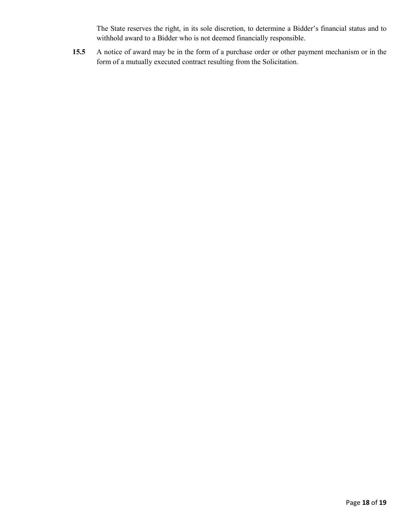The State reserves the right, in its sole discretion, to determine a Bidder's financial status and to withhold award to a Bidder who is not deemed financially responsible.

**15.5** A notice of award may be in the form of a purchase order or other payment mechanism or in the form of a mutually executed contract resulting from the Solicitation.